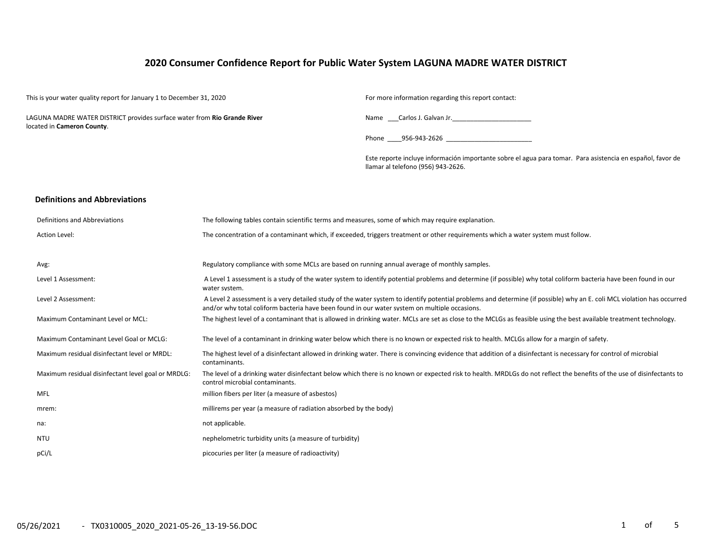# **2020 Consumer Confidence Report for Public Water System LAGUNA MADRE WATER DISTRICT**

| This is your water quality report for January 1 to December 31, 2020                                   |                                                                                                    | For more information regarding this report contact:                                                                                                                    |  |  |  |  |  |  |
|--------------------------------------------------------------------------------------------------------|----------------------------------------------------------------------------------------------------|------------------------------------------------------------------------------------------------------------------------------------------------------------------------|--|--|--|--|--|--|
| LAGUNA MADRE WATER DISTRICT provides surface water from Rio Grande River<br>located in Cameron County. |                                                                                                    | Name Carlos J. Galvan Jr.                                                                                                                                              |  |  |  |  |  |  |
|                                                                                                        |                                                                                                    | Phone 956-943-2626                                                                                                                                                     |  |  |  |  |  |  |
|                                                                                                        |                                                                                                    | Este reporte incluye información importante sobre el agua para tomar. Para asistencia en español, favor de<br>llamar al telefono (956) 943-2626.                       |  |  |  |  |  |  |
| <b>Definitions and Abbreviations</b>                                                                   |                                                                                                    |                                                                                                                                                                        |  |  |  |  |  |  |
| Definitions and Abbreviations                                                                          | The following tables contain scientific terms and measures, some of which may require explanation. |                                                                                                                                                                        |  |  |  |  |  |  |
| Action Level:                                                                                          |                                                                                                    | The concentration of a contaminant which, if exceeded, triggers treatment or other requirements which a water system must follow.                                      |  |  |  |  |  |  |
| Avg:                                                                                                   | Regulatory compliance with some MCLs are based on running annual average of monthly samples.       |                                                                                                                                                                        |  |  |  |  |  |  |
| Level 1 Assessment:                                                                                    | water system.                                                                                      | A Level 1 assessment is a study of the water system to identify potential problems and determine (if possible) why total coliform bacteria have been found in our      |  |  |  |  |  |  |
| Level 2 Assessment:                                                                                    | and/or why total coliform bacteria have been found in our water system on multiple occasions.      | A Level 2 assessment is a very detailed study of the water system to identify potential problems and determine (if possible) why an E. coli MCL violation has occurred |  |  |  |  |  |  |
| Maximum Contaminant Level or MCL:                                                                      |                                                                                                    | The highest level of a contaminant that is allowed in drinking water. MCLs are set as close to the MCLGs as feasible using the best available treatment technology.    |  |  |  |  |  |  |
| Maximum Contaminant Level Goal or MCLG:                                                                |                                                                                                    | The level of a contaminant in drinking water below which there is no known or expected risk to health. MCLGs allow for a margin of safety.                             |  |  |  |  |  |  |
| Maximum residual disinfectant level or MRDL:                                                           | contaminants.                                                                                      | The highest level of a disinfectant allowed in drinking water. There is convincing evidence that addition of a disinfectant is necessary for control of microbial      |  |  |  |  |  |  |
| Maximum residual disinfectant level goal or MRDLG:                                                     | control microbial contaminants.                                                                    | The level of a drinking water disinfectant below which there is no known or expected risk to health. MRDLGs do not reflect the benefits of the use of disinfectants to |  |  |  |  |  |  |
| <b>MFL</b>                                                                                             | million fibers per liter (a measure of asbestos)                                                   |                                                                                                                                                                        |  |  |  |  |  |  |
| mrem:                                                                                                  | millirems per year (a measure of radiation absorbed by the body)                                   |                                                                                                                                                                        |  |  |  |  |  |  |
| na:                                                                                                    | not applicable.                                                                                    |                                                                                                                                                                        |  |  |  |  |  |  |
| <b>NTU</b>                                                                                             | nephelometric turbidity units (a measure of turbidity)                                             |                                                                                                                                                                        |  |  |  |  |  |  |
| pCi/L                                                                                                  | picocuries per liter (a measure of radioactivity)                                                  |                                                                                                                                                                        |  |  |  |  |  |  |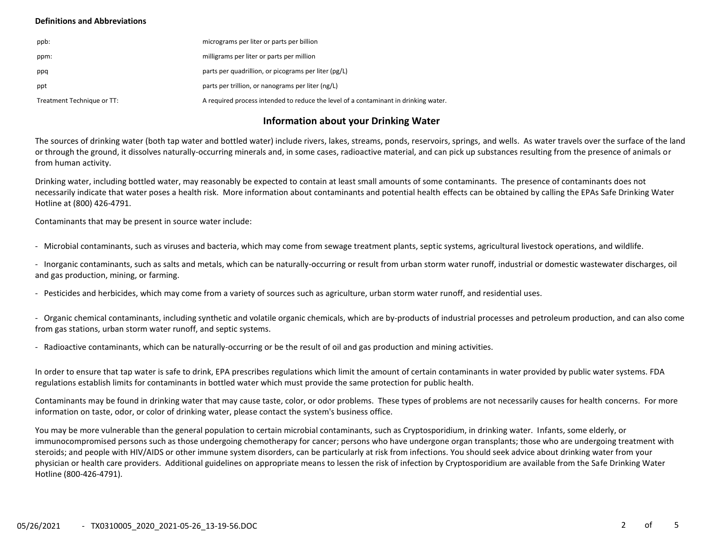## **Definitions and Abbreviations**

| ppb:                       | micrograms per liter or parts per billion                                           |
|----------------------------|-------------------------------------------------------------------------------------|
| ppm:                       | milligrams per liter or parts per million                                           |
| ppq                        | parts per quadrillion, or picograms per liter (pg/L)                                |
| ppt                        | parts per trillion, or nanograms per liter (ng/L)                                   |
| Treatment Technique or TT: | A required process intended to reduce the level of a contaminant in drinking water. |

# **Information about your Drinking Water**

The sources of drinking water (both tap water and bottled water) include rivers, lakes, streams, ponds, reservoirs, springs, and wells. As water travels over the surface of the land or through the ground, it dissolves naturally-occurring minerals and, in some cases, radioactive material, and can pick up substances resulting from the presence of animals or from human activity.

Drinking water, including bottled water, may reasonably be expected to contain at least small amounts of some contaminants. The presence of contaminants does not necessarily indicate that water poses a health risk. More information about contaminants and potential health effects can be obtained by calling the EPAs Safe Drinking Water Hotline at (800) 426-4791.

Contaminants that may be present in source water include:

- Microbial contaminants, such as viruses and bacteria, which may come from sewage treatment plants, septic systems, agricultural livestock operations, and wildlife.

- Inorganic contaminants, such as salts and metals, which can be naturally-occurring or result from urban storm water runoff, industrial or domestic wastewater discharges, oil and gas production, mining, or farming.

- Pesticides and herbicides, which may come from a variety of sources such as agriculture, urban storm water runoff, and residential uses.

- Organic chemical contaminants, including synthetic and volatile organic chemicals, which are by-products of industrial processes and petroleum production, and can also come from gas stations, urban storm water runoff, and septic systems.

- Radioactive contaminants, which can be naturally-occurring or be the result of oil and gas production and mining activities.

In order to ensure that tap water is safe to drink, EPA prescribes regulations which limit the amount of certain contaminants in water provided by public water systems. FDA regulations establish limits for contaminants in bottled water which must provide the same protection for public health.

Contaminants may be found in drinking water that may cause taste, color, or odor problems. These types of problems are not necessarily causes for health concerns. For more information on taste, odor, or color of drinking water, please contact the system's business office.

You may be more vulnerable than the general population to certain microbial contaminants, such as Cryptosporidium, in drinking water. Infants, some elderly, or immunocompromised persons such as those undergoing chemotherapy for cancer; persons who have undergone organ transplants; those who are undergoing treatment with steroids; and people with HIV/AIDS or other immune system disorders, can be particularly at risk from infections. You should seek advice about drinking water from your physician or health care providers. Additional guidelines on appropriate means to lessen the risk of infection by Cryptosporidium are available from the Safe Drinking Water Hotline (800-426-4791).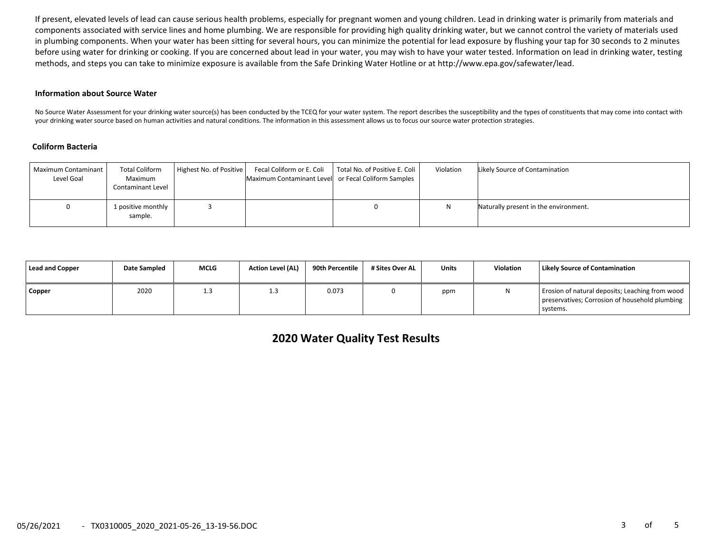If present, elevated levels of lead can cause serious health problems, especially for pregnant women and young children. Lead in drinking water is primarily from materials and components associated with service lines and home plumbing. We are responsible for providing high quality drinking water, but we cannot control the variety of materials used in plumbing components. When your water has been sitting for several hours, you can minimize the potential for lead exposure by flushing your tap for 30 seconds to 2 minutes before using water for drinking or cooking. If you are concerned about lead in your water, you may wish to have your water tested. Information on lead in drinking water, testing methods, and steps you can take to minimize exposure is available from the Safe Drinking Water Hotline or at http://www.epa.gov/safewater/lead.

#### **Information about Source Water**

No Source Water Assessment for your drinking water source(s) has been conducted by the TCEQ for your water system. The report describes the susceptibility and the types of constituents that may come into contact with your drinking water source based on human activities and natural conditions. The information in this assessment allows us to focus our source water protection strategies.

#### **Coliform Bacteria**

| <b>Maximum Contaminant</b><br>Level Goal | <b>Total Coliform</b><br>Maximum<br>Contaminant Level | Highest No. of Positive | Maximum Contaminant Level or Fecal Coliform Samples | Fecal Coliform or E. Coli   Total No. of Positive E. Coli | Violation | Likely Source of Contamination        |
|------------------------------------------|-------------------------------------------------------|-------------------------|-----------------------------------------------------|-----------------------------------------------------------|-----------|---------------------------------------|
|                                          | 1 positive monthly<br>sample.                         |                         |                                                     |                                                           |           | Naturally present in the environment. |

| Lead and Copper | Date Sampled | MCLG | <b>Action Level (AL)</b> | 90th Percentile | # Sites Over AL | Units | Violation | Likely Source of Contamination                                                                                |
|-----------------|--------------|------|--------------------------|-----------------|-----------------|-------|-----------|---------------------------------------------------------------------------------------------------------------|
| Copper          | 2020         | 1.3  | ᆠ                        | 0.073           |                 | ppm   |           | Erosion of natural deposits; Leaching from wood<br>preservatives; Corrosion of household plumbing<br>systems. |

**2020 Water Quality Test Results**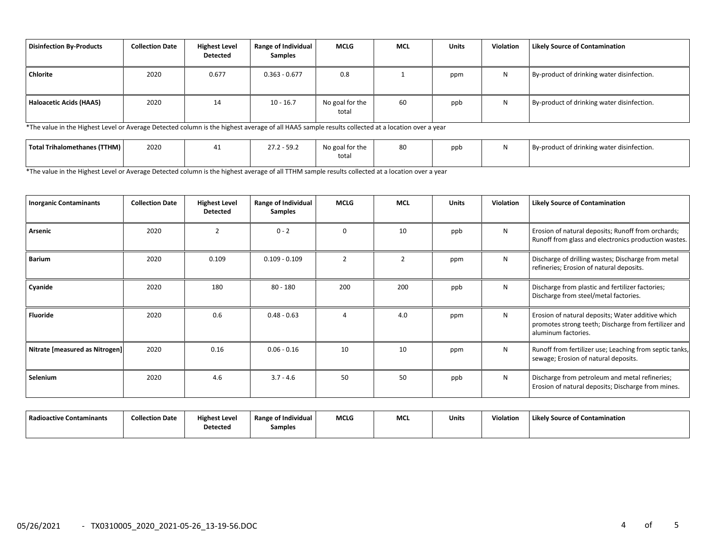| Disinfection By-Products | <b>Collection Date</b> | <b>Highest Level</b><br><b>Detected</b> | Range of Individual<br><b>Samples</b> | <b>MCLG</b>              | MCL | <b>Units</b> | <b>Violation</b> | <b>Likely Source of Contamination</b>      |
|--------------------------|------------------------|-----------------------------------------|---------------------------------------|--------------------------|-----|--------------|------------------|--------------------------------------------|
| Chlorite                 | 2020                   | 0.677                                   | $0.363 - 0.677$                       | 0.8                      |     | ppm          | N                | By-product of drinking water disinfection. |
| Haloacetic Acids (HAA5)  | 2020                   | 14                                      | $10 - 16.7$                           | No goal for the<br>total | 60  | ppb          |                  | By-product of drinking water disinfection. |

\*The value in the Highest Level or Average Detected column is the highest average of all HAA5 sample results collected at a location over a year

| Total Trihalomethanes (TTHM) | 2020 | $27.2 - 59.2$ | No goal for the<br>$\sim$ $\sim$ $\sim$ | $\sim$<br>oυ | ppb | By-product of drinking water disinfection. |
|------------------------------|------|---------------|-----------------------------------------|--------------|-----|--------------------------------------------|
|                              |      |               | total<br>$\cdots$                       |              |     |                                            |

\*The value in the Highest Level or Average Detected column is the highest average of all TTHM sample results collected at a location over a year

| <b>Inorganic Contaminants</b>  | <b>Collection Date</b> | <b>Highest Level</b><br><b>Detected</b> | Range of Individual<br><b>Samples</b> | MCLG     | <b>MCL</b> | <b>Units</b> | <b>Violation</b> | <b>Likely Source of Contamination</b>                                                                                            |
|--------------------------------|------------------------|-----------------------------------------|---------------------------------------|----------|------------|--------------|------------------|----------------------------------------------------------------------------------------------------------------------------------|
| Arsenic                        | 2020                   | $\mathcal{P}$                           | $0 - 2$                               | $\Omega$ | 10         | ppb          | N                | Erosion of natural deposits; Runoff from orchards;<br>Runoff from glass and electronics production wastes.                       |
| <b>Barium</b>                  | 2020                   | 0.109                                   | $0.109 - 0.109$                       |          | 2          | ppm          | N                | Discharge of drilling wastes; Discharge from metal<br>refineries; Erosion of natural deposits.                                   |
| Cyanide                        | 2020                   | 180                                     | $80 - 180$                            | 200      | 200        | ppb          | N                | Discharge from plastic and fertilizer factories;<br>Discharge from steel/metal factories.                                        |
| Fluoride                       | 2020                   | 0.6                                     | $0.48 - 0.63$                         |          | 4.0        | ppm          | N                | Erosion of natural deposits; Water additive which<br>promotes strong teeth; Discharge from fertilizer and<br>aluminum factories. |
| Nitrate [measured as Nitrogen] | 2020                   | 0.16                                    | $0.06 - 0.16$                         | 10       | 10         | ppm          | N                | Runoff from fertilizer use; Leaching from septic tanks,<br>sewage; Erosion of natural deposits.                                  |
| Selenium                       | 2020                   | 4.6                                     | $3.7 - 4.6$                           | 50       | 50         | ppb          | N                | Discharge from petroleum and metal refineries;<br>Erosion of natural deposits; Discharge from mines.                             |

| Radioactive Contaminants | <b>Collection Date</b> | <b>Highest Level</b><br><b>Detected</b> | .<br>Range of Individual | <b>MCLG</b> | MCI | <b>Units</b> | Violation | Likely Source of Contamination |
|--------------------------|------------------------|-----------------------------------------|--------------------------|-------------|-----|--------------|-----------|--------------------------------|
|                          |                        |                                         | Samples                  |             |     |              |           |                                |